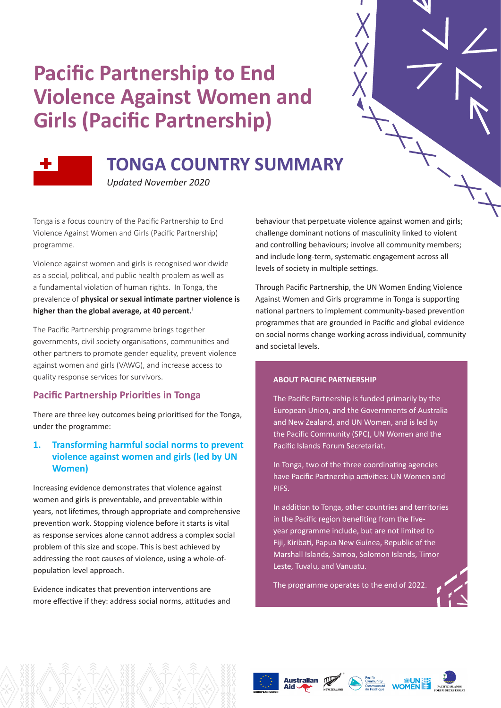# **Pacific Partnership to End Violence Against Women and Girls (Pacific Partnership)**



## **TONGA COUNTRY SUMMARY**

*Updated November 2020*

Tonga is a focus country of the Pacific Partnership to End Violence Against Women and Girls (Pacific Partnership) programme.

Violence against women and girls is recognised worldwide as a social, political, and public health problem as well as a fundamental violation of human rights. In Tonga, the prevalence of **physical or sexual intimate partner violence is**  higher than the global average, at 40 percent.<sup>1</sup>

The Pacific Partnership programme brings together governments, civil society organisations, communities and other partners to promote gender equality, prevent violence against women and girls (VAWG), and increase access to quality response services for survivors.

## **Pacific Partnership Priorities in Tonga**

There are three key outcomes being prioritised for the Tonga, under the programme:

## **1. Transforming harmful social norms to prevent violence against women and girls (led by UN Women)**

Increasing evidence demonstrates that violence against women and girls is preventable, and preventable within years, not lifetimes, through appropriate and comprehensive prevention work. Stopping violence before it starts is vital as response services alone cannot address a complex social problem of this size and scope. This is best achieved by addressing the root causes of violence, using a whole-ofpopulation level approach.

Evidence indicates that prevention interventions are more effective if they: address social norms, attitudes and behaviour that perpetuate violence against women and girls; challenge dominant notions of masculinity linked to violent and controlling behaviours; involve all community members; and include long-term, systematic engagement across all levels of society in multiple settings.

Through Pacific Partnership, the UN Women Ending Violence Against Women and Girls programme in Tonga is supporting national partners to implement community-based prevention programmes that are grounded in Pacific and global evidence on social norms change working across individual, community and societal levels.

### **ABOUT PACIFIC PARTNERSHIP**

The Pacific Partnership is funded primarily by the European Union, and the Governments of Australia and New Zealand, and UN Women, and is led by the Pacific Community (SPC), UN Women and the Pacific Islands Forum Secretariat.

In Tonga, two of the three coordinating agencies have Pacific Partnership activities: UN Women and PIFS.

In addition to Tonga, other countries and territories in the Pacific region benefiting from the fiveyear programme include, but are not limited to Fiji, Kiribati, Papua New Guinea, Republic of the Marshall Islands, Samoa, Solomon Islands, Timor Leste, Tuvalu, and Vanuatu.

The programme operates to the end of 2022.







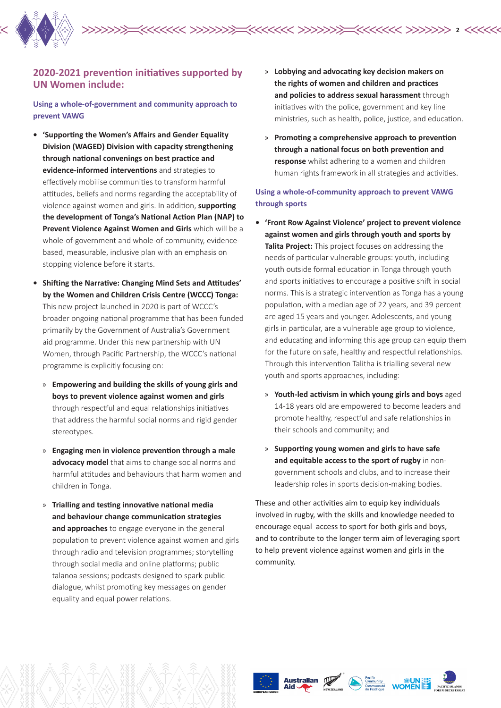

## **2020-2021 prevention initiatives supported by UN Women include:**

**Using a whole-of-government and community approach to prevent VAWG**

- **• 'Supporting the Women's Affairs and Gender Equality Division (WAGED) Division with capacity strengthening through national convenings on best practice and evidence-informed interventions** and strategies to effectively mobilise communities to transform harmful attitudes, beliefs and norms regarding the acceptability of violence against women and girls. In addition, **supporting the development of Tonga's National Action Plan (NAP) to Prevent Violence Against Women and Girls** which will be a whole-of-government and whole-of-community, evidencebased, measurable, inclusive plan with an emphasis on stopping violence before it starts.
- **• Shifting the Narrative: Changing Mind Sets and Attitudes' by the Women and Children Crisis Centre (WCCC) Tonga:**  This new project launched in 2020 is part of WCCC's broader ongoing national programme that has been funded primarily by the Government of Australia's Government aid programme. Under this new partnership with UN Women, through Pacific Partnership, the WCCC's national programme is explicitly focusing on:
	- » **Empowering and building the skills of young girls and boys to prevent violence against women and girls**  through respectful and equal relationships initiatives that address the harmful social norms and rigid gender stereotypes.
	- » **Engaging men in violence prevention through a male advocacy model** that aims to change social norms and harmful attitudes and behaviours that harm women and children in Tonga.
	- » **Trialling and testing innovative national media and behaviour change communication strategies and approaches** to engage everyone in the general population to prevent violence against women and girls through radio and television programmes; storytelling through social media and online platforms; public talanoa sessions; podcasts designed to spark public dialogue, whilst promoting key messages on gender equality and equal power relations.
- » **Lobbying and advocating key decision makers on the rights of women and children and practices and policies to address sexual harassment** through initiatives with the police, government and key line ministries, such as health, police, justice, and education.
- » **Promoting a comprehensive approach to prevention through a national focus on both prevention and response** whilst adhering to a women and children human rights framework in all strategies and activities.

## **Using a whole-of-community approach to prevent VAWG through sports**

- **• 'Front Row Against Violence' project to prevent violence against women and girls through youth and sports by Talita Project:** This project focuses on addressing the needs of particular vulnerable groups: youth, including youth outside formal education in Tonga through youth and sports initiatives to encourage a positive shift in social norms. This is a strategic intervention as Tonga has a young population, with a median age of 22 years, and 39 percent are aged 15 years and younger. Adolescents, and young girls in particular, are a vulnerable age group to violence, and educating and informing this age group can equip them for the future on safe, healthy and respectful relationships. Through this intervention Talitha is trialling several new youth and sports approaches, including:
	- » **Youth-led activism in which young girls and boys** aged 14-18 years old are empowered to become leaders and promote healthy, respectful and safe relationships in their schools and community; and
	- » **Supporting young women and girls to have safe and equitable access to the sport of rugby** in nongovernment schools and clubs, and to increase their leadership roles in sports decision-making bodies.

These and other activities aim to equip key individuals involved in rugby, with the skills and knowledge needed to encourage equal access to sport for both girls and boys, and to contribute to the longer term aim of leveraging sport to help prevent violence against women and girls in the community.





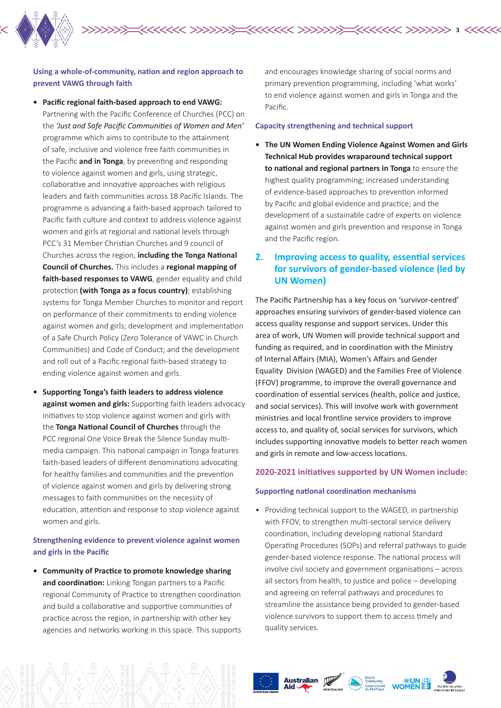

## **Using a whole-of-community, nation and region approach to prevent VAWG through faith**

- **• Pacific regional faith-based approach to end VAWG:**  Partnering with the Pacific Conference of Churches (PCC) on the *'Just and Safe Pacific Communities of Women and Men'*  programme which aims to contribute to the attainment of safe, inclusive and violence free faith communities in the Pacific **and in Tonga**, by preventing and responding to violence against women and girls, using strategic, collaborative and innovative approaches with religious leaders and faith communities across 18 Pacific Islands. The programme is advancing a faith-based approach tailored to Pacific faith culture and context to address violence against women and girls at regional and national levels through PCC's 31 Member Christian Churches and 9 council of Churches across the region, **including the Tonga National Council of Churches.** This includes a **regional mapping of faith-based responses to VAWG**, gender equality and child protection **(with Tonga as a focus country)**; establishing systems for Tonga Member Churches to monitor and report on performance of their commitments to ending violence against women and girls; development and implementation of a Safe Church Policy (Zero Tolerance of VAWC in Church Communities) and Code of Conduct; and the development and roll out of a Pacific regional faith-based strategy to ending violence against women and girls.
- **• Supporting Tonga's faith leaders to address violence against women and girls:** Supporting faith leaders advocacy initiatives to stop violence against women and girls with the **Tonga National Council of Churches** through the PCC regional One Voice Break the Silence Sunday multimedia campaign. This national campaign in Tonga features faith-based leaders of different denominations advocating for healthy families and communities and the prevention of violence against women and girls by delivering strong messages to faith communities on the necessity of education, attention and response to stop violence against women and girls.

## **Strengthening evidence to prevent violence against women and girls in the Pacific**

**• Community of Practice to promote knowledge sharing and coordination:** Linking Tongan partners to a Pacific regional Community of Practice to strengthen coordination and build a collaborative and supportive communities of practice across the region, in partnership with other key agencies and networks working in this space. This supports and encourages knowledge sharing of social norms and primary prevention programming, including 'what works' to end violence against women and girls in Tonga and the Pacific.

#### **Capacity strengthening and technical support**

**3**

**• The UN Women Ending Violence Against Women and Girls Technical Hub provides wraparound technical support to national and regional partners in Tonga** to ensure the highest quality programming; increased understanding of evidence-based approaches to prevention informed by Pacific and global evidence and practice; and the development of a sustainable cadre of experts on violence against women and girls prevention and response in Tonga and the Pacific region.

## **2. Improving access to quality, essential services for survivors of gender-based violence (led by UN Women)**

The Pacific Partnership has a key focus on 'survivor-centred' approaches ensuring survivors of gender-based violence can access quality response and support services. Under this area of work, UN Women will provide technical support and funding as required, and in coordination with the Ministry of Internal Affairs (MIA), Women's Affairs and Gender Equality Division (WAGED) and the Families Free of Violence (FFOV) programme, to improve the overall governance and coordination of essential services (health, police and justice, and social services). This will involve work with government ministries and local frontline service providers to improve access to, and quality of, social services for survivors, which includes supporting innovative models to better reach women and girls in remote and low-access locations.

#### **2020-2021 initiatives supported by UN Women include:**

#### **Supporting national coordination mechanisms**

• Providing technical support to the WAGED, in partnership with FFOV, to strengthen multi-sectoral service delivery coordination, including developing national Standard Operating Procedures (SOPs) and referral pathways to guide gender-based violence response. The national process will involve civil society and government organisations – across all sectors from health, to justice and police – developing and agreeing on referral pathways and procedures to streamline the assistance being provided to gender-based violence survivors to support them to access timely and quality services.

Australian Wellington Community WOMEN PLANES